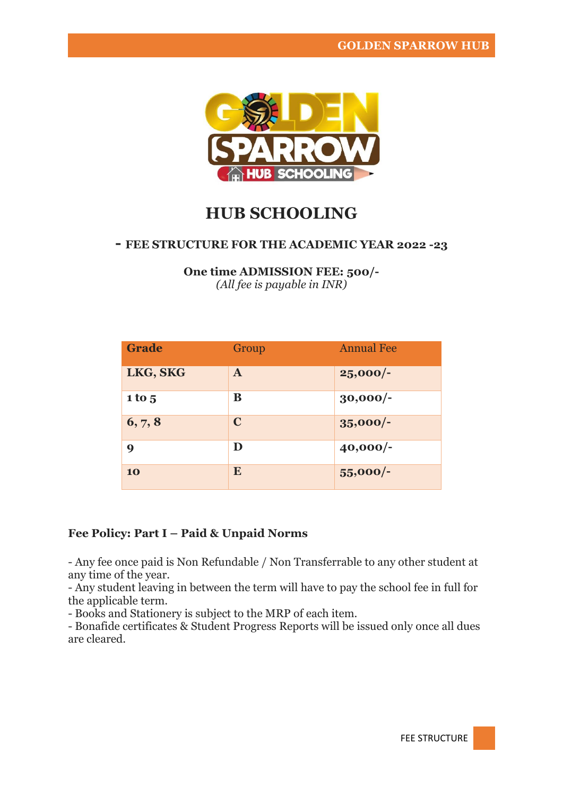

# **HUB SCHOOLING**

#### **- FEE STRUCTURE FOR THE ACADEMIC YEAR 2022 -23**

**One time ADMISSION FEE: 500/-** *(All fee is payable in INR)*

| <b>Grade</b>     | Group        | <b>Annual Fee</b> |
|------------------|--------------|-------------------|
| LKG, SKG         | $\mathbf{A}$ | $25,000/-$        |
| 1 to 5           | B            | $30,000/-$        |
| 6, 7, 8          | $\mathbf C$  | $35,000/-$        |
| $\boldsymbol{9}$ | D            | $40,000/-$        |
| 10               | E            | 55,000/-          |

### **Fee Policy: Part I – Paid & Unpaid Norms**

- Any fee once paid is Non Refundable / Non Transferrable to any other student at any time of the year.

- Any student leaving in between the term will have to pay the school fee in full for the applicable term.

- Books and Stationery is subject to the MRP of each item.

- Bonafide certificates & Student Progress Reports will be issued only once all dues are cleared.